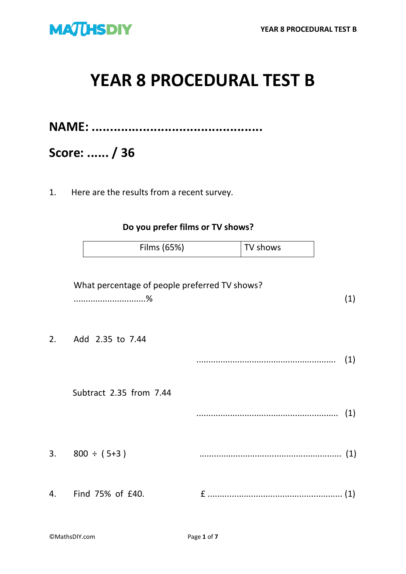

# **YEAR 8 PROCEDURAL TEST B**

**NAME: ...............................................**

**Score: ...... / 36**

1. Here are the results from a recent survey.

**Do you prefer films or TV shows?**

| Films (65%) | TV shows |
|-------------|----------|
|-------------|----------|

|    | What percentage of people preferred TV shows? | (1) |
|----|-----------------------------------------------|-----|
| 2. | Add 2.35 to 7.44                              | (1) |
|    | Subtract 2.35 from 7.44                       | (1) |
| 3. | $800 \div (5 + 3)$                            |     |
| 4. | Find 75% of £40.                              |     |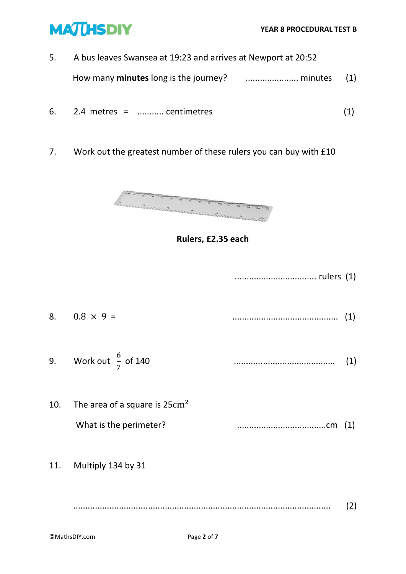

- 5. A bus leaves Swansea at 19:23 and arrives at Newport at 20:52 How many **minutes** long is the journey? ...................... minutes (1)
- 6. 2.4 metres = ........... centimetres (1)
- 7. Work out the greatest number of these rulers you can buy with £10



### **Rulers, £2.35 each**

- .................................. rulers (1) 8. 0.8 × 9 = ............................................ (1)
- 9. Work out  $\frac{6}{7}$ of 140 .......................................... (1)
- 10. The area of a square is  $25 \text{cm}^2$ What is the perimeter? .....................................cm (1)
- 11. Multiply 134 by 31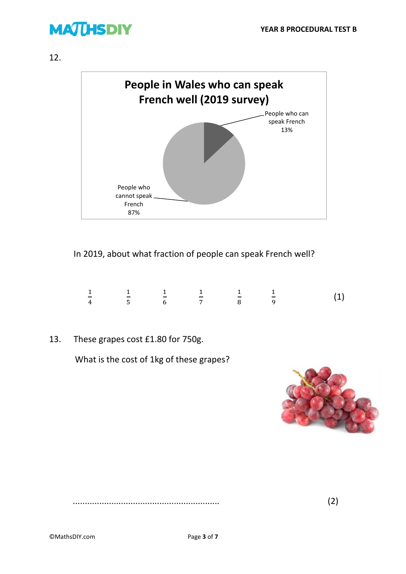## **MATHSDIY**

12.



#### In 2019, about what fraction of people can speak French well?

|             |  |  | $\frac{1}{2}$ $\frac{1}{2}$ $\frac{1}{2}$ $\frac{1}{2}$ $\frac{1}{2}$ $\frac{1}{2}$ $\frac{1}{2}$ $\frac{1}{2}$ $\frac{1}{2}$ $\frac{1}{2}$ $\frac{1}{2}$ $\frac{1}{2}$ $\frac{1}{2}$ $\frac{1}{2}$ $\frac{1}{2}$ $\frac{1}{2}$ $\frac{1}{2}$ $\frac{1}{2}$ $\frac{1}{2}$ $\frac{1}{2}$ $\frac{1}{2}$ $\frac{1}{2}$ |  |
|-------------|--|--|---------------------------------------------------------------------------------------------------------------------------------------------------------------------------------------------------------------------------------------------------------------------------------------------------------------------|--|
| 4 5 6 7 8 9 |  |  |                                                                                                                                                                                                                                                                                                                     |  |

13. These grapes cost £1.80 for 750g.

What is the cost of 1kg of these grapes?



............................................................. (2)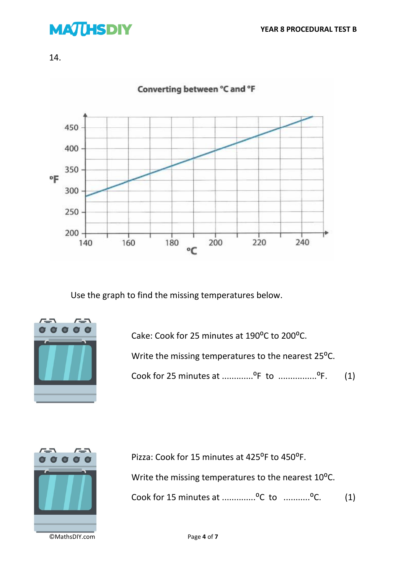## **MATHSDIY**





Use the graph to find the missing temperatures below.



Cake: Cook for 25 minutes at 190<sup>o</sup>C to 200<sup>o</sup>C. Write the missing temperatures to the nearest 25<sup>o</sup>C.





Pizza: Cook for 15 minutes at 425°F to 450°F. Write the missing temperatures to the nearest 10<sup>o</sup>C. Cook for 15 minutes at  $\ldots$ ............<sup>o</sup>C to  $\ldots$ .........<sup>o</sup>C. (1)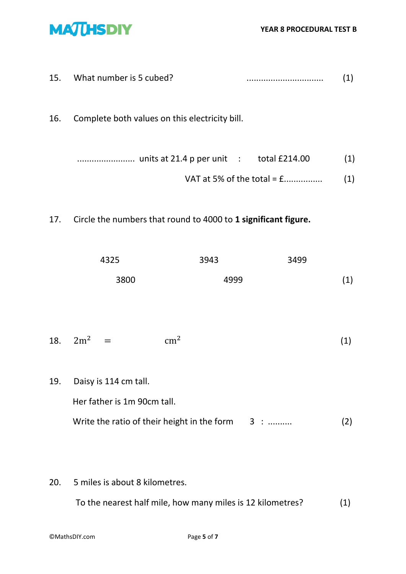

- 15. What number is 5 cubed? ................................ (1)
- 16. Complete both values on this electricity bill.
	- ........................ units at 21.4 p per unit : total £214.00 (1)
		- VAT at 5% of the total = £................ (1)
- 17. Circle the numbers that round to 4000 to **1 significant figure.**

| 4325 | 3943 | 3499 |     |
|------|------|------|-----|
| 3800 | 4999 |      | (1) |

- 18.  $2m^2 = cm^2$ (1)
- 19. Daisy is 114 cm tall. Her father is 1m 90cm tall. Write the ratio of their height in the form  $3 : ...$   $(2)$
- 20. 5 miles is about 8 kilometres.

To the nearest half mile, how many miles is 12 kilometres? (1)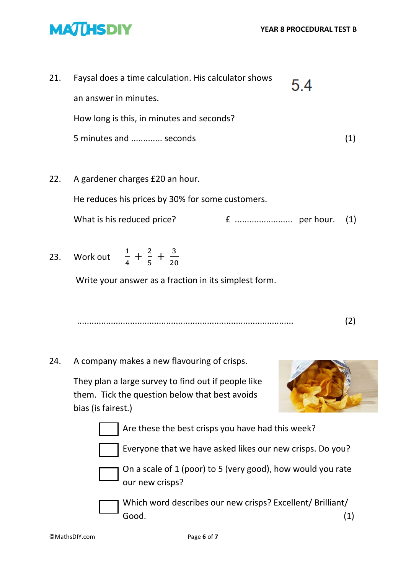

| 21. | Faysal does a time calculation. His calculator shows | 54 |  |
|-----|------------------------------------------------------|----|--|
|     | an answer in minutes.                                |    |  |
|     | How long is this, in minutes and seconds?            |    |  |
|     | 5 minutes and  seconds                               |    |  |
|     |                                                      |    |  |
| 22. | A gardener charges £20 an hour.                      |    |  |

He reduces his prices by 30% for some customers.

What is his reduced price? £ ........................ per hour. (1)

23. Work out  $\frac{1}{4} + \frac{2}{5}$  $rac{2}{5} + \frac{3}{20}$ 20

Write your answer as a fraction in its simplest form.

.......................................................................................... (2)

24. A company makes a new flavouring of crisps.

They plan a large survey to find out if people like them. Tick the question below that best avoids bias (is fairest.)



Are these the best crisps you have had this week?

Everyone that we have asked likes our new crisps. Do you?



On a scale of 1 (poor) to 5 (very good), how would you rate our new crisps?

Which word describes our new crisps? Excellent/ Brilliant/ Good. (1)